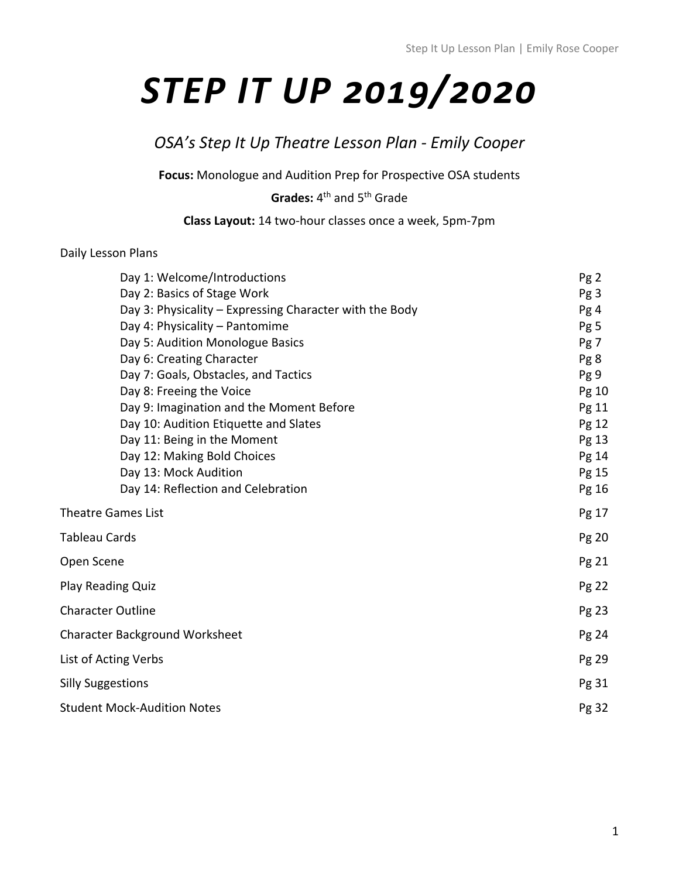# STEP IT UP 2019/2020

### *OSA's Step It Up Theatre Lesson Plan - Emily Cooper*

**Focus:** Monologue and Audition Prep for Prospective OSA students

**Grades:** 4th and 5th Grade

### **Class Layout:** 14 two-hour classes once a week, 5pm-7pm

### Daily Lesson Plans

| Day 1: Welcome/Introductions                            | Pg <sub>2</sub> |
|---------------------------------------------------------|-----------------|
| Day 2: Basics of Stage Work                             | Pg 3            |
| Day 3: Physicality – Expressing Character with the Body | Pg 4            |
| Day 4: Physicality - Pantomime                          | Pg 5            |
| Day 5: Audition Monologue Basics                        | Pg 7            |
| Day 6: Creating Character                               | Pg 8            |
| Day 7: Goals, Obstacles, and Tactics                    | Pg 9            |
| Day 8: Freeing the Voice                                | Pg 10           |
| Day 9: Imagination and the Moment Before                | Pg 11           |
| Day 10: Audition Etiquette and Slates                   | Pg 12           |
| Day 11: Being in the Moment                             | Pg 13           |
| Day 12: Making Bold Choices                             | Pg 14           |
| Day 13: Mock Audition                                   | Pg 15           |
| Day 14: Reflection and Celebration                      | Pg 16           |
| <b>Theatre Games List</b>                               | Pg 17           |
| Tableau Cards                                           | Pg 20           |
| Open Scene                                              | Pg 21           |
| <b>Play Reading Quiz</b>                                | Pg 22           |
| <b>Character Outline</b>                                | Pg 23           |
| <b>Character Background Worksheet</b>                   | Pg 24           |
| <b>List of Acting Verbs</b>                             | Pg 29           |
| <b>Silly Suggestions</b>                                | Pg 31           |
| <b>Student Mock-Audition Notes</b>                      | Pg 32           |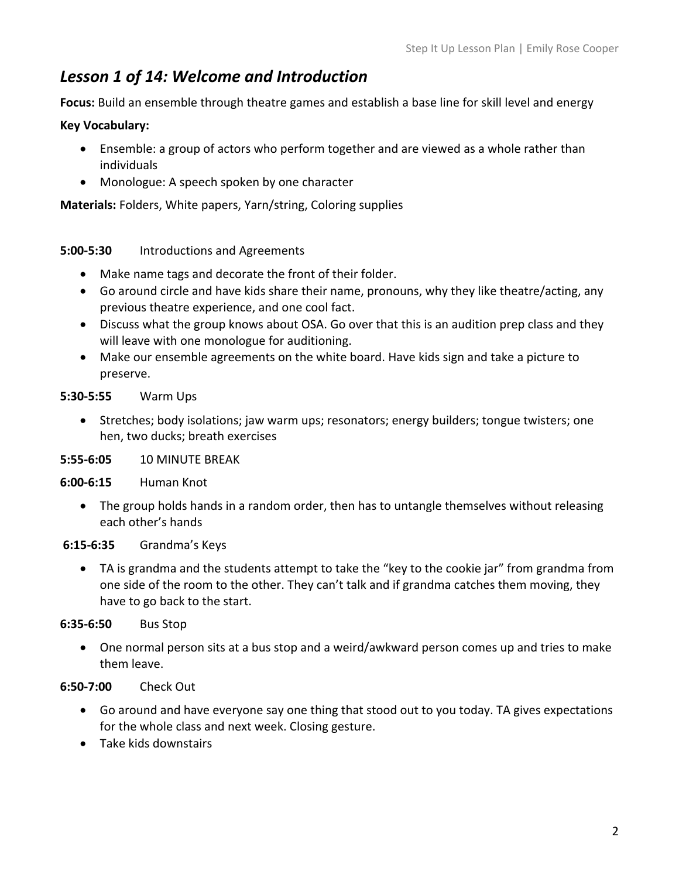### *Lesson 1 of 14: Welcome and Introduction*

**Focus:** Build an ensemble through theatre games and establish a base line for skill level and energy

### **Key Vocabulary:**

- Ensemble: a group of actors who perform together and are viewed as a whole rather than individuals
- Monologue: A speech spoken by one character

**Materials:** Folders, White papers, Yarn/string, Coloring supplies

### **5:00-5:30** Introductions and Agreements

- Make name tags and decorate the front of their folder.
- Go around circle and have kids share their name, pronouns, why they like theatre/acting, any previous theatre experience, and one cool fact.
- Discuss what the group knows about OSA. Go over that this is an audition prep class and they will leave with one monologue for auditioning.
- Make our ensemble agreements on the white board. Have kids sign and take a picture to preserve.
- **5:30-5:55** Warm Ups
	- Stretches; body isolations; jaw warm ups; resonators; energy builders; tongue twisters; one hen, two ducks; breath exercises

### **5:55-6:05** 10 MINUTE BREAK

**6:00-6:15** Human Knot

• The group holds hands in a random order, then has to untangle themselves without releasing each other's hands

### **6:15-6:35** Grandma's Keys

• TA is grandma and the students attempt to take the "key to the cookie jar" from grandma from one side of the room to the other. They can't talk and if grandma catches them moving, they have to go back to the start.

### **6:35-6:50** Bus Stop

• One normal person sits at a bus stop and a weird/awkward person comes up and tries to make them leave.

- Go around and have everyone say one thing that stood out to you today. TA gives expectations for the whole class and next week. Closing gesture.
- Take kids downstairs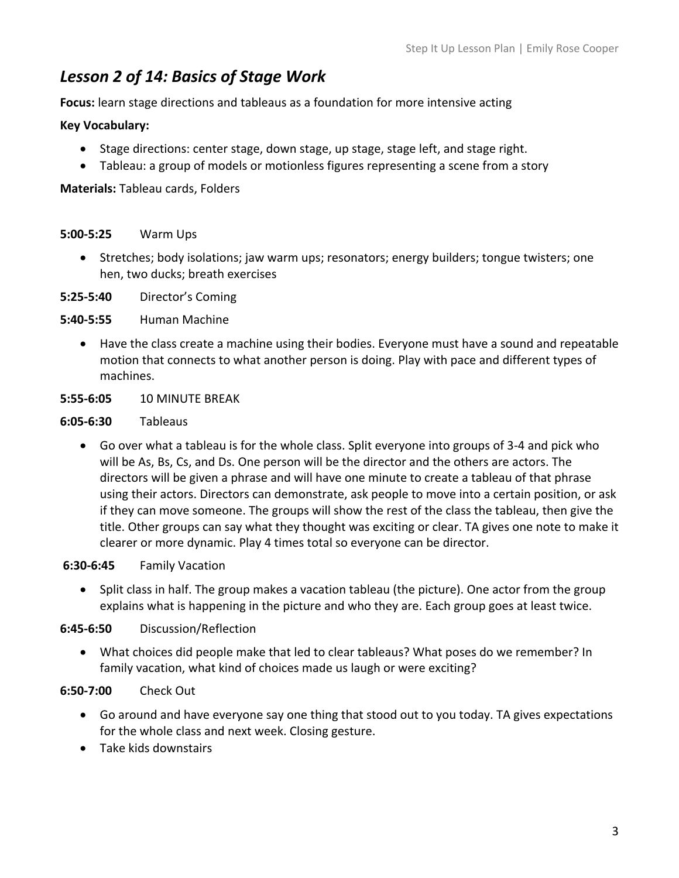### *Lesson 2 of 14: Basics of Stage Work*

**Focus:** learn stage directions and tableaus as a foundation for more intensive acting

### **Key Vocabulary:**

- Stage directions: center stage, down stage, up stage, stage left, and stage right.
- Tableau: a group of models or motionless figures representing a scene from a story

**Materials:** Tableau cards, Folders

### **5:00-5:25** Warm Ups

• Stretches; body isolations; jaw warm ups; resonators; energy builders; tongue twisters; one hen, two ducks; breath exercises

**5:25-5:40** Director's Coming

### **5:40-5:55** Human Machine

- Have the class create a machine using their bodies. Everyone must have a sound and repeatable motion that connects to what another person is doing. Play with pace and different types of machines.
- **5:55-6:05** 10 MINUTE BREAK
- **6:05-6:30** Tableaus
	- Go over what a tableau is for the whole class. Split everyone into groups of 3-4 and pick who will be As, Bs, Cs, and Ds. One person will be the director and the others are actors. The directors will be given a phrase and will have one minute to create a tableau of that phrase using their actors. Directors can demonstrate, ask people to move into a certain position, or ask if they can move someone. The groups will show the rest of the class the tableau, then give the title. Other groups can say what they thought was exciting or clear. TA gives one note to make it clearer or more dynamic. Play 4 times total so everyone can be director.

### **6:30-6:45** Family Vacation

• Split class in half. The group makes a vacation tableau (the picture). One actor from the group explains what is happening in the picture and who they are. Each group goes at least twice.

### **6:45-6:50** Discussion/Reflection

• What choices did people make that led to clear tableaus? What poses do we remember? In family vacation, what kind of choices made us laugh or were exciting?

- Go around and have everyone say one thing that stood out to you today. TA gives expectations for the whole class and next week. Closing gesture.
- Take kids downstairs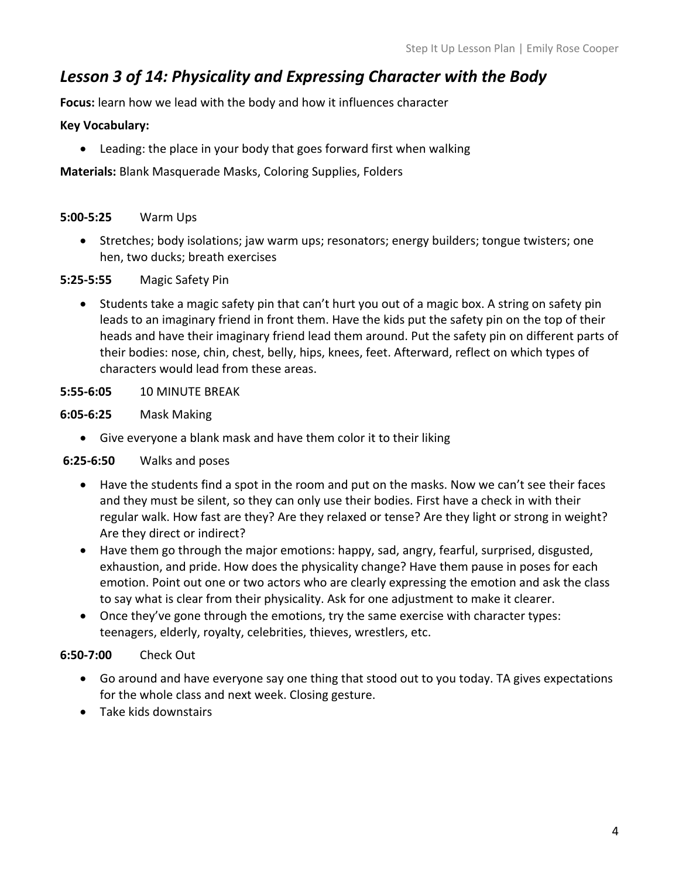### *Lesson 3 of 14: Physicality and Expressing Character with the Body*

**Focus:** learn how we lead with the body and how it influences character

### **Key Vocabulary:**

• Leading: the place in your body that goes forward first when walking

**Materials:** Blank Masquerade Masks, Coloring Supplies, Folders

### **5:00-5:25** Warm Ups

• Stretches; body isolations; jaw warm ups; resonators; energy builders; tongue twisters; one hen, two ducks; breath exercises

### **5:25-5:55** Magic Safety Pin

• Students take a magic safety pin that can't hurt you out of a magic box. A string on safety pin leads to an imaginary friend in front them. Have the kids put the safety pin on the top of their heads and have their imaginary friend lead them around. Put the safety pin on different parts of their bodies: nose, chin, chest, belly, hips, knees, feet. Afterward, reflect on which types of characters would lead from these areas.

### **5:55-6:05** 10 MINUTE BREAK

### **6:05-6:25** Mask Making

• Give everyone a blank mask and have them color it to their liking

### **6:25-6:50** Walks and poses

- Have the students find a spot in the room and put on the masks. Now we can't see their faces and they must be silent, so they can only use their bodies. First have a check in with their regular walk. How fast are they? Are they relaxed or tense? Are they light or strong in weight? Are they direct or indirect?
- Have them go through the major emotions: happy, sad, angry, fearful, surprised, disgusted, exhaustion, and pride. How does the physicality change? Have them pause in poses for each emotion. Point out one or two actors who are clearly expressing the emotion and ask the class to say what is clear from their physicality. Ask for one adjustment to make it clearer.
- Once they've gone through the emotions, try the same exercise with character types: teenagers, elderly, royalty, celebrities, thieves, wrestlers, etc.

- Go around and have everyone say one thing that stood out to you today. TA gives expectations for the whole class and next week. Closing gesture.
- Take kids downstairs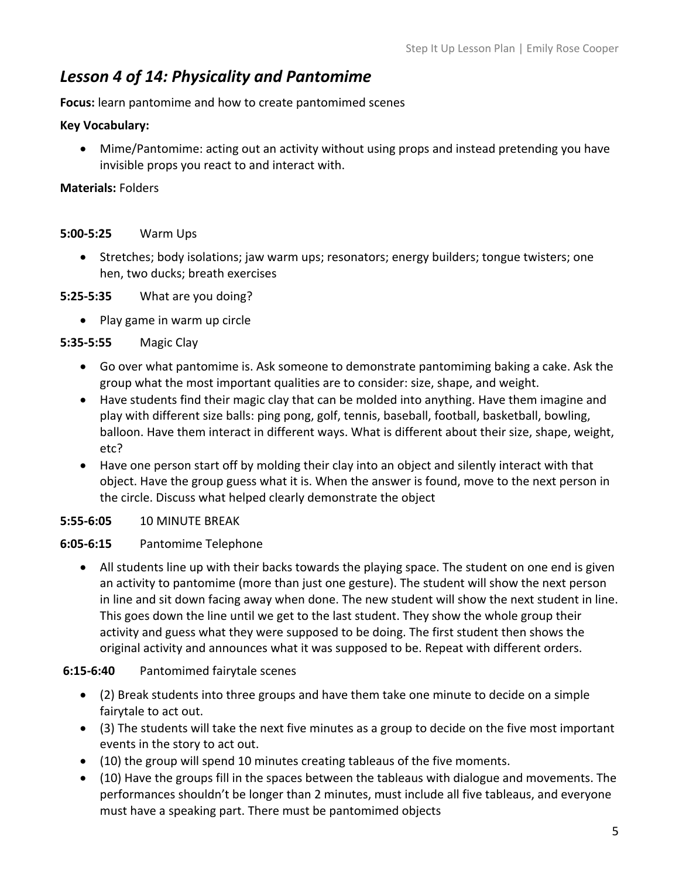### *Lesson 4 of 14: Physicality and Pantomime*

**Focus:** learn pantomime and how to create pantomimed scenes

### **Key Vocabulary:**

• Mime/Pantomime: acting out an activity without using props and instead pretending you have invisible props you react to and interact with.

### **Materials:** Folders

### **5:00-5:25** Warm Ups

• Stretches; body isolations; jaw warm ups; resonators; energy builders; tongue twisters; one hen, two ducks; breath exercises

### **5:25-5:35** What are you doing?

• Play game in warm up circle

### **5:35-5:55** Magic Clay

- Go over what pantomime is. Ask someone to demonstrate pantomiming baking a cake. Ask the group what the most important qualities are to consider: size, shape, and weight.
- Have students find their magic clay that can be molded into anything. Have them imagine and play with different size balls: ping pong, golf, tennis, baseball, football, basketball, bowling, balloon. Have them interact in different ways. What is different about their size, shape, weight, etc?
- Have one person start off by molding their clay into an object and silently interact with that object. Have the group guess what it is. When the answer is found, move to the next person in the circle. Discuss what helped clearly demonstrate the object

### **5:55-6:05** 10 MINUTE BREAK

### **6:05-6:15** Pantomime Telephone

• All students line up with their backs towards the playing space. The student on one end is given an activity to pantomime (more than just one gesture). The student will show the next person in line and sit down facing away when done. The new student will show the next student in line. This goes down the line until we get to the last student. They show the whole group their activity and guess what they were supposed to be doing. The first student then shows the original activity and announces what it was supposed to be. Repeat with different orders.

### **6:15-6:40** Pantomimed fairytale scenes

- (2) Break students into three groups and have them take one minute to decide on a simple fairytale to act out.
- (3) The students will take the next five minutes as a group to decide on the five most important events in the story to act out.
- (10) the group will spend 10 minutes creating tableaus of the five moments.
- (10) Have the groups fill in the spaces between the tableaus with dialogue and movements. The performances shouldn't be longer than 2 minutes, must include all five tableaus, and everyone must have a speaking part. There must be pantomimed objects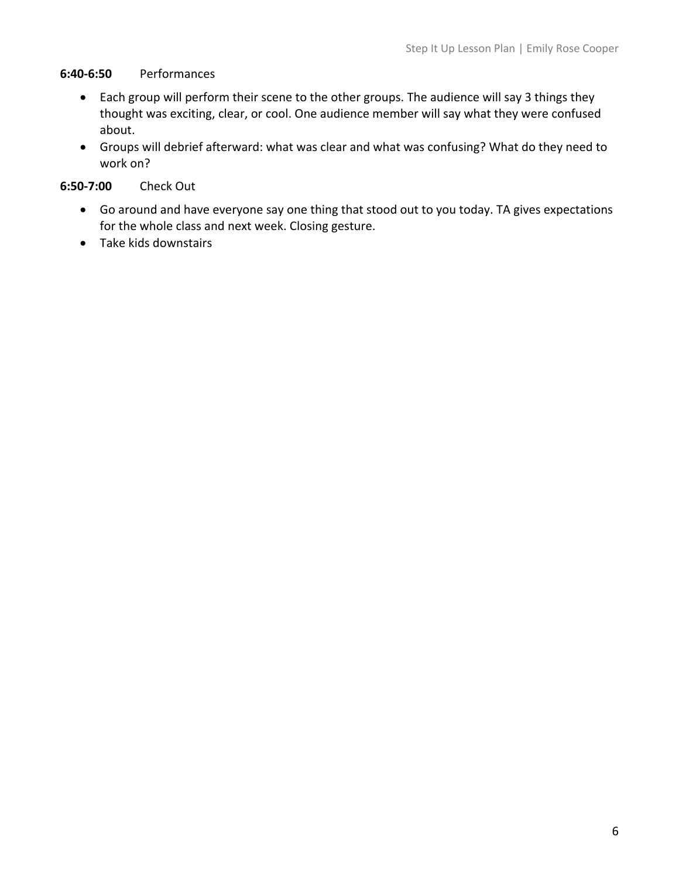### **6:40-6:50** Performances

- Each group will perform their scene to the other groups. The audience will say 3 things they thought was exciting, clear, or cool. One audience member will say what they were confused about.
- Groups will debrief afterward: what was clear and what was confusing? What do they need to work on?

- Go around and have everyone say one thing that stood out to you today. TA gives expectations for the whole class and next week. Closing gesture.
- Take kids downstairs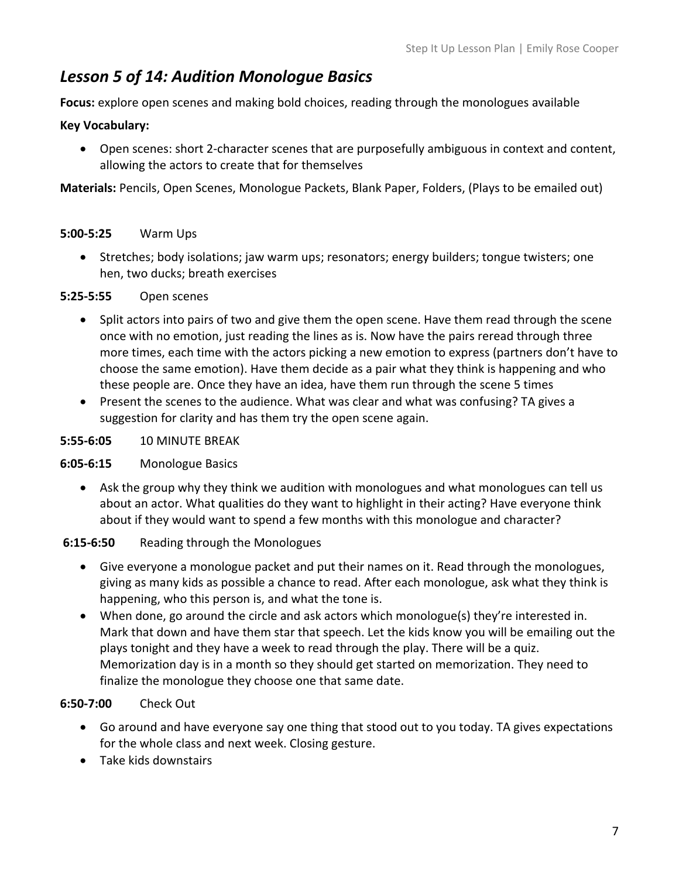### *Lesson 5 of 14: Audition Monologue Basics*

**Focus:** explore open scenes and making bold choices, reading through the monologues available

### **Key Vocabulary:**

• Open scenes: short 2-character scenes that are purposefully ambiguous in context and content, allowing the actors to create that for themselves

**Materials:** Pencils, Open Scenes, Monologue Packets, Blank Paper, Folders, (Plays to be emailed out)

### **5:00-5:25** Warm Ups

• Stretches; body isolations; jaw warm ups; resonators; energy builders; tongue twisters; one hen, two ducks; breath exercises

#### **5:25-5:55** Open scenes

- Split actors into pairs of two and give them the open scene. Have them read through the scene once with no emotion, just reading the lines as is. Now have the pairs reread through three more times, each time with the actors picking a new emotion to express (partners don't have to choose the same emotion). Have them decide as a pair what they think is happening and who these people are. Once they have an idea, have them run through the scene 5 times
- Present the scenes to the audience. What was clear and what was confusing? TA gives a suggestion for clarity and has them try the open scene again.

#### **5:55-6:05** 10 MINUTE BREAK

### **6:05-6:15** Monologue Basics

• Ask the group why they think we audition with monologues and what monologues can tell us about an actor. What qualities do they want to highlight in their acting? Have everyone think about if they would want to spend a few months with this monologue and character?

### **6:15-6:50** Reading through the Monologues

- Give everyone a monologue packet and put their names on it. Read through the monologues, giving as many kids as possible a chance to read. After each monologue, ask what they think is happening, who this person is, and what the tone is.
- When done, go around the circle and ask actors which monologue(s) they're interested in. Mark that down and have them star that speech. Let the kids know you will be emailing out the plays tonight and they have a week to read through the play. There will be a quiz. Memorization day is in a month so they should get started on memorization. They need to finalize the monologue they choose one that same date.

- Go around and have everyone say one thing that stood out to you today. TA gives expectations for the whole class and next week. Closing gesture.
- Take kids downstairs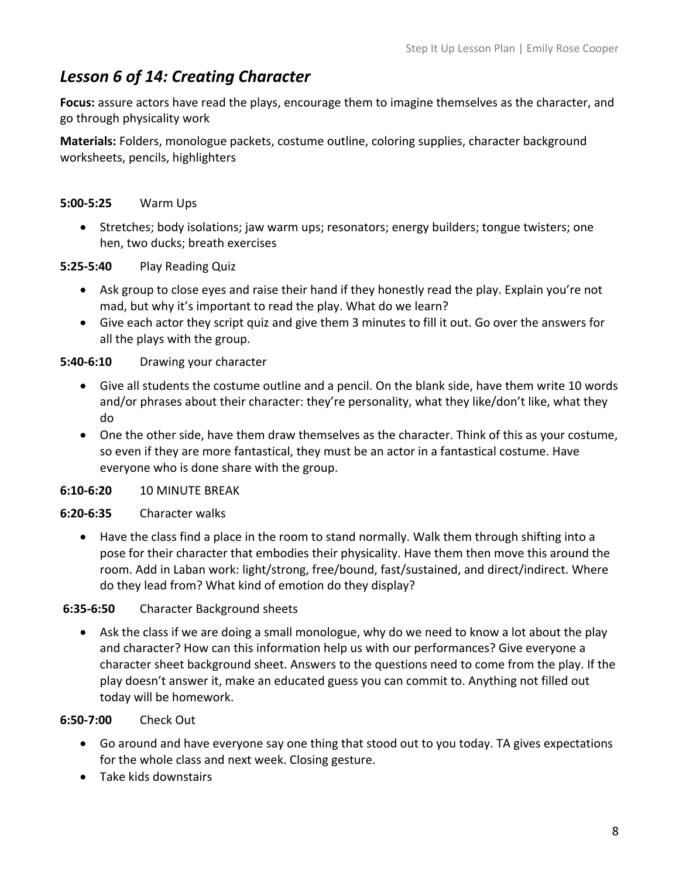### *Lesson 6 of 14: Creating Character*

**Focus:** assure actors have read the plays, encourage them to imagine themselves as the character, and go through physicality work

**Materials:** Folders, monologue packets, costume outline, coloring supplies, character background worksheets, pencils, highlighters

### **5:00-5:25** Warm Ups

• Stretches; body isolations; jaw warm ups; resonators; energy builders; tongue twisters; one hen, two ducks; breath exercises

### **5:25-5:40** Play Reading Quiz

- Ask group to close eyes and raise their hand if they honestly read the play. Explain you're not mad, but why it's important to read the play. What do we learn?
- Give each actor they script quiz and give them 3 minutes to fill it out. Go over the answers for all the plays with the group.

### **5:40-6:10** Drawing your character

- Give all students the costume outline and a pencil. On the blank side, have them write 10 words and/or phrases about their character: they're personality, what they like/don't like, what they do
- One the other side, have them draw themselves as the character. Think of this as your costume, so even if they are more fantastical, they must be an actor in a fantastical costume. Have everyone who is done share with the group.

### **6:10-6:20** 10 MINUTE BREAK

### **6:20-6:35** Character walks

• Have the class find a place in the room to stand normally. Walk them through shifting into a pose for their character that embodies their physicality. Have them then move this around the room. Add in Laban work: light/strong, free/bound, fast/sustained, and direct/indirect. Where do they lead from? What kind of emotion do they display?

### **6:35-6:50** Character Background sheets

• Ask the class if we are doing a small monologue, why do we need to know a lot about the play and character? How can this information help us with our performances? Give everyone a character sheet background sheet. Answers to the questions need to come from the play. If the play doesn't answer it, make an educated guess you can commit to. Anything not filled out today will be homework.

- Go around and have everyone say one thing that stood out to you today. TA gives expectations for the whole class and next week. Closing gesture.
- Take kids downstairs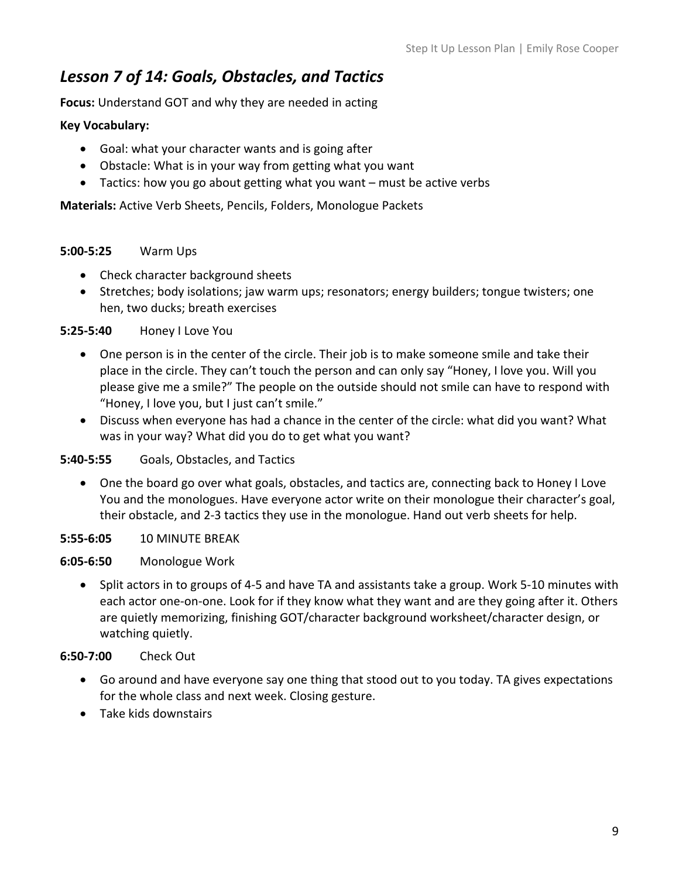### *Lesson 7 of 14: Goals, Obstacles, and Tactics*

**Focus:** Understand GOT and why they are needed in acting

### **Key Vocabulary:**

- Goal: what your character wants and is going after
- Obstacle: What is in your way from getting what you want
- Tactics: how you go about getting what you want must be active verbs

**Materials:** Active Verb Sheets, Pencils, Folders, Monologue Packets

### **5:00-5:25** Warm Ups

- Check character background sheets
- Stretches; body isolations; jaw warm ups; resonators; energy builders; tongue twisters; one hen, two ducks; breath exercises

### **5:25-5:40** Honey I Love You

- One person is in the center of the circle. Their job is to make someone smile and take their place in the circle. They can't touch the person and can only say "Honey, I love you. Will you please give me a smile?" The people on the outside should not smile can have to respond with "Honey, I love you, but I just can't smile."
- Discuss when everyone has had a chance in the center of the circle: what did you want? What was in your way? What did you do to get what you want?

### **5:40-5:55** Goals, Obstacles, and Tactics

• One the board go over what goals, obstacles, and tactics are, connecting back to Honey I Love You and the monologues. Have everyone actor write on their monologue their character's goal, their obstacle, and 2-3 tactics they use in the monologue. Hand out verb sheets for help.

### **5:55-6:05** 10 MINUTE BREAK

### **6:05-6:50** Monologue Work

• Split actors in to groups of 4-5 and have TA and assistants take a group. Work 5-10 minutes with each actor one-on-one. Look for if they know what they want and are they going after it. Others are quietly memorizing, finishing GOT/character background worksheet/character design, or watching quietly.

- Go around and have everyone say one thing that stood out to you today. TA gives expectations for the whole class and next week. Closing gesture.
- Take kids downstairs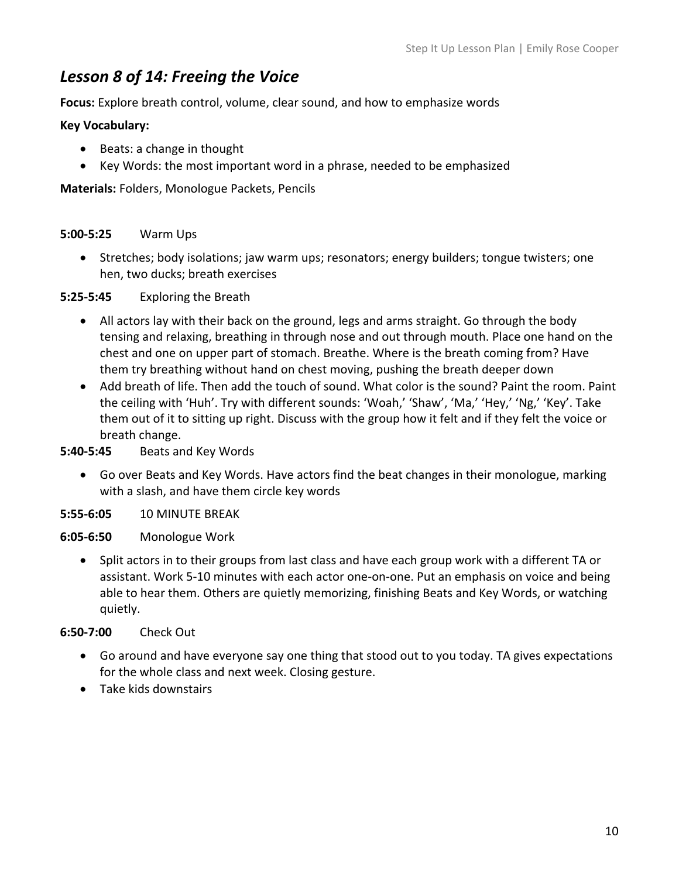### *Lesson 8 of 14: Freeing the Voice*

**Focus:** Explore breath control, volume, clear sound, and how to emphasize words

### **Key Vocabulary:**

- Beats: a change in thought
- Key Words: the most important word in a phrase, needed to be emphasized

**Materials:** Folders, Monologue Packets, Pencils

### **5:00-5:25** Warm Ups

• Stretches; body isolations; jaw warm ups; resonators; energy builders; tongue twisters; one hen, two ducks; breath exercises

### **5:25-5:45** Exploring the Breath

- All actors lay with their back on the ground, legs and arms straight. Go through the body tensing and relaxing, breathing in through nose and out through mouth. Place one hand on the chest and one on upper part of stomach. Breathe. Where is the breath coming from? Have them try breathing without hand on chest moving, pushing the breath deeper down
- Add breath of life. Then add the touch of sound. What color is the sound? Paint the room. Paint the ceiling with 'Huh'. Try with different sounds: 'Woah,' 'Shaw', 'Ma,' 'Hey,' 'Ng,' 'Key'. Take them out of it to sitting up right. Discuss with the group how it felt and if they felt the voice or breath change.

### **5:40-5:45** Beats and Key Words

- Go over Beats and Key Words. Have actors find the beat changes in their monologue, marking with a slash, and have them circle key words
- **5:55-6:05** 10 MINUTE BREAK

### **6:05-6:50** Monologue Work

• Split actors in to their groups from last class and have each group work with a different TA or assistant. Work 5-10 minutes with each actor one-on-one. Put an emphasis on voice and being able to hear them. Others are quietly memorizing, finishing Beats and Key Words, or watching quietly.

- Go around and have everyone say one thing that stood out to you today. TA gives expectations for the whole class and next week. Closing gesture.
- Take kids downstairs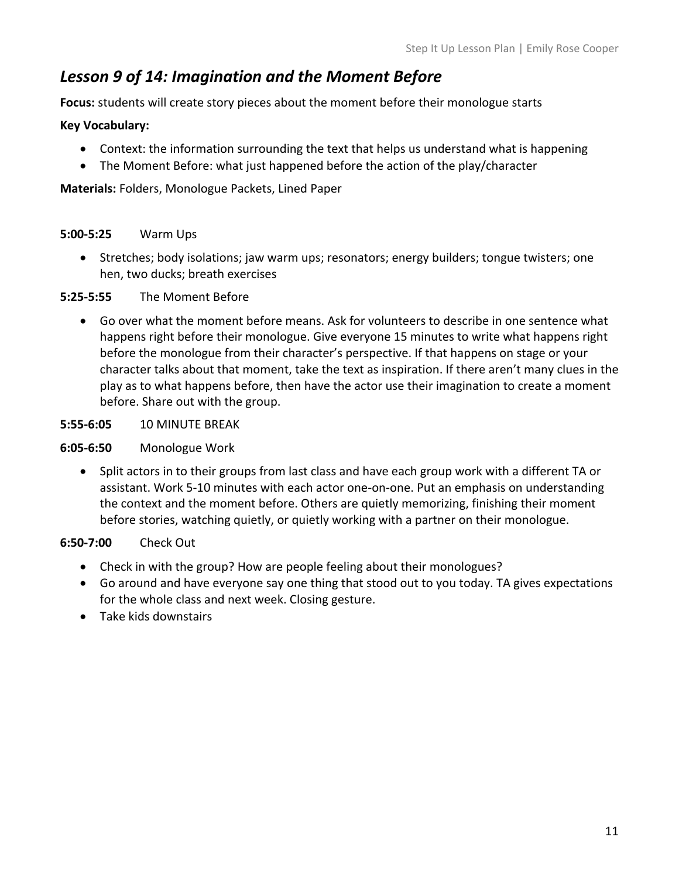### *Lesson 9 of 14: Imagination and the Moment Before*

**Focus:** students will create story pieces about the moment before their monologue starts

### **Key Vocabulary:**

- Context: the information surrounding the text that helps us understand what is happening
- The Moment Before: what just happened before the action of the play/character

**Materials:** Folders, Monologue Packets, Lined Paper

### **5:00-5:25** Warm Ups

• Stretches; body isolations; jaw warm ups; resonators; energy builders; tongue twisters; one hen, two ducks; breath exercises

### **5:25-5:55** The Moment Before

• Go over what the moment before means. Ask for volunteers to describe in one sentence what happens right before their monologue. Give everyone 15 minutes to write what happens right before the monologue from their character's perspective. If that happens on stage or your character talks about that moment, take the text as inspiration. If there aren't many clues in the play as to what happens before, then have the actor use their imagination to create a moment before. Share out with the group.

### **5:55-6:05** 10 MINUTE BREAK

### **6:05-6:50** Monologue Work

• Split actors in to their groups from last class and have each group work with a different TA or assistant. Work 5-10 minutes with each actor one-on-one. Put an emphasis on understanding the context and the moment before. Others are quietly memorizing, finishing their moment before stories, watching quietly, or quietly working with a partner on their monologue.

- Check in with the group? How are people feeling about their monologues?
- Go around and have everyone say one thing that stood out to you today. TA gives expectations for the whole class and next week. Closing gesture.
- Take kids downstairs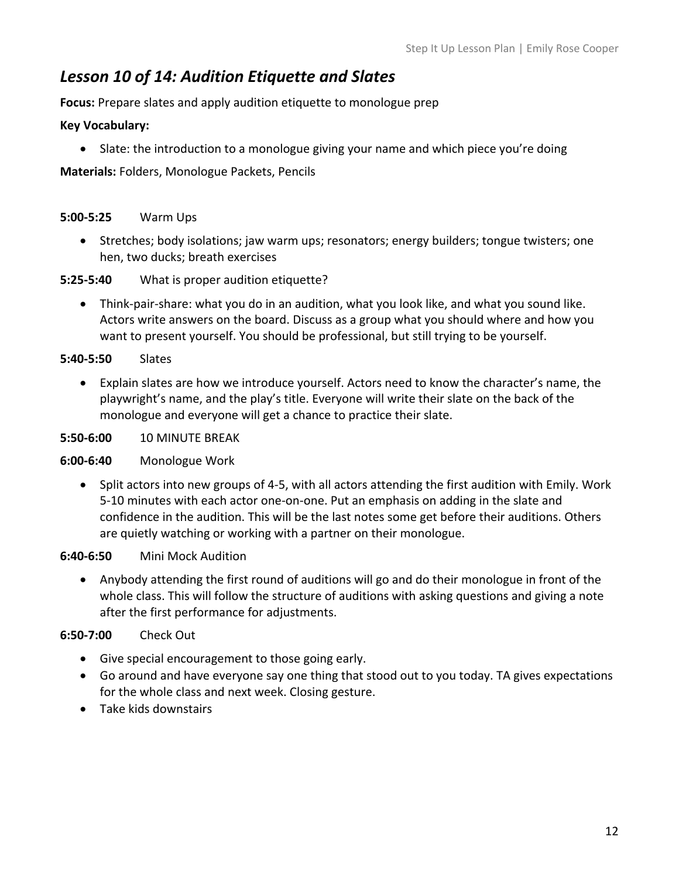### *Lesson 10 of 14: Audition Etiquette and Slates*

**Focus:** Prepare slates and apply audition etiquette to monologue prep

### **Key Vocabulary:**

• Slate: the introduction to a monologue giving your name and which piece you're doing

**Materials:** Folders, Monologue Packets, Pencils

### **5:00-5:25** Warm Ups

• Stretches; body isolations; jaw warm ups; resonators; energy builders; tongue twisters; one hen, two ducks; breath exercises

### **5:25-5:40** What is proper audition etiquette?

• Think-pair-share: what you do in an audition, what you look like, and what you sound like. Actors write answers on the board. Discuss as a group what you should where and how you want to present yourself. You should be professional, but still trying to be yourself.

### **5:40-5:50** Slates

• Explain slates are how we introduce yourself. Actors need to know the character's name, the playwright's name, and the play's title. Everyone will write their slate on the back of the monologue and everyone will get a chance to practice their slate.

#### **5:50-6:00** 10 MINUTE BREAK

### **6:00-6:40** Monologue Work

• Split actors into new groups of 4-5, with all actors attending the first audition with Emily. Work 5-10 minutes with each actor one-on-one. Put an emphasis on adding in the slate and confidence in the audition. This will be the last notes some get before their auditions. Others are quietly watching or working with a partner on their monologue.

### **6:40-6:50** Mini Mock Audition

• Anybody attending the first round of auditions will go and do their monologue in front of the whole class. This will follow the structure of auditions with asking questions and giving a note after the first performance for adjustments.

- Give special encouragement to those going early.
- Go around and have everyone say one thing that stood out to you today. TA gives expectations for the whole class and next week. Closing gesture.
- Take kids downstairs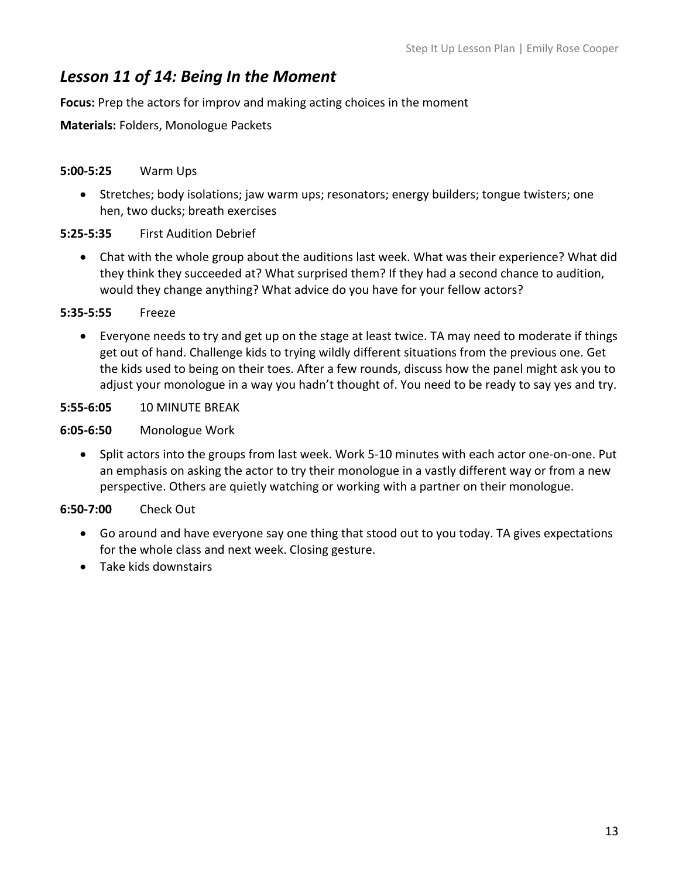### *Lesson 11 of 14: Being In the Moment*

**Focus:** Prep the actors for improv and making acting choices in the moment

### **Materials:** Folders, Monologue Packets

### **5:00-5:25** Warm Ups

• Stretches; body isolations; jaw warm ups; resonators; energy builders; tongue twisters; one hen, two ducks; breath exercises

### **5:25-5:35** First Audition Debrief

• Chat with the whole group about the auditions last week. What was their experience? What did they think they succeeded at? What surprised them? If they had a second chance to audition, would they change anything? What advice do you have for your fellow actors?

### **5:35-5:55** Freeze

• Everyone needs to try and get up on the stage at least twice. TA may need to moderate if things get out of hand. Challenge kids to trying wildly different situations from the previous one. Get the kids used to being on their toes. After a few rounds, discuss how the panel might ask you to adjust your monologue in a way you hadn't thought of. You need to be ready to say yes and try.

### **5:55-6:05** 10 MINUTE BREAK

### **6:05-6:50** Monologue Work

• Split actors into the groups from last week. Work 5-10 minutes with each actor one-on-one. Put an emphasis on asking the actor to try their monologue in a vastly different way or from a new perspective. Others are quietly watching or working with a partner on their monologue.

- Go around and have everyone say one thing that stood out to you today. TA gives expectations for the whole class and next week. Closing gesture.
- Take kids downstairs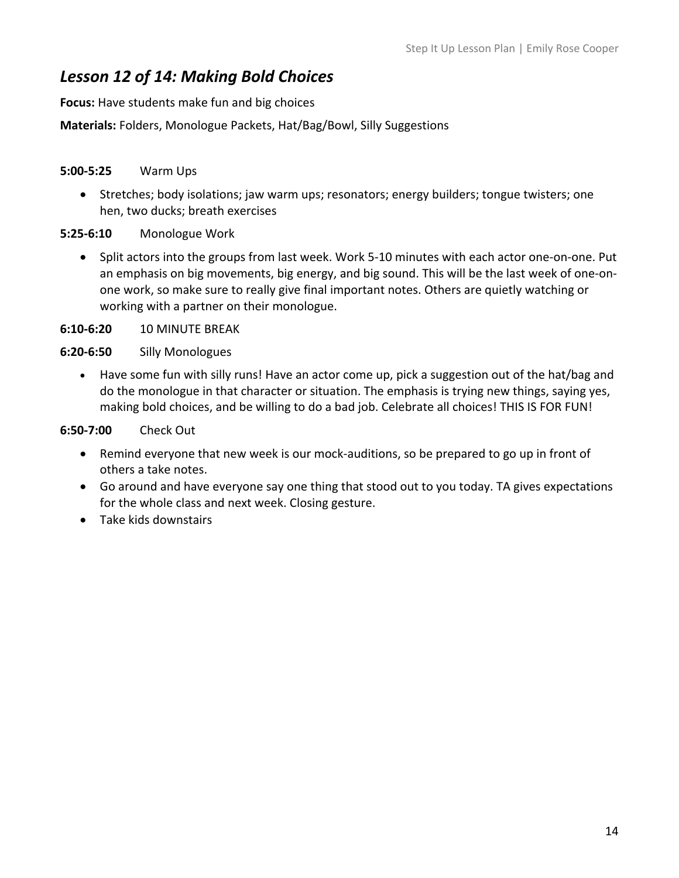### *Lesson 12 of 14: Making Bold Choices*

**Focus:** Have students make fun and big choices

**Materials:** Folders, Monologue Packets, Hat/Bag/Bowl, Silly Suggestions

### **5:00-5:25** Warm Ups

- Stretches; body isolations; jaw warm ups; resonators; energy builders; tongue twisters; one hen, two ducks; breath exercises
- **5:25-6:10** Monologue Work
	- Split actors into the groups from last week. Work 5-10 minutes with each actor one-on-one. Put an emphasis on big movements, big energy, and big sound. This will be the last week of one-onone work, so make sure to really give final important notes. Others are quietly watching or working with a partner on their monologue.

### **6:10-6:20** 10 MINUTE BREAK

### **6:20-6:50** Silly Monologues

• Have some fun with silly runs! Have an actor come up, pick a suggestion out of the hat/bag and do the monologue in that character or situation. The emphasis is trying new things, saying yes, making bold choices, and be willing to do a bad job. Celebrate all choices! THIS IS FOR FUN!

- Remind everyone that new week is our mock-auditions, so be prepared to go up in front of others a take notes.
- Go around and have everyone say one thing that stood out to you today. TA gives expectations for the whole class and next week. Closing gesture.
- Take kids downstairs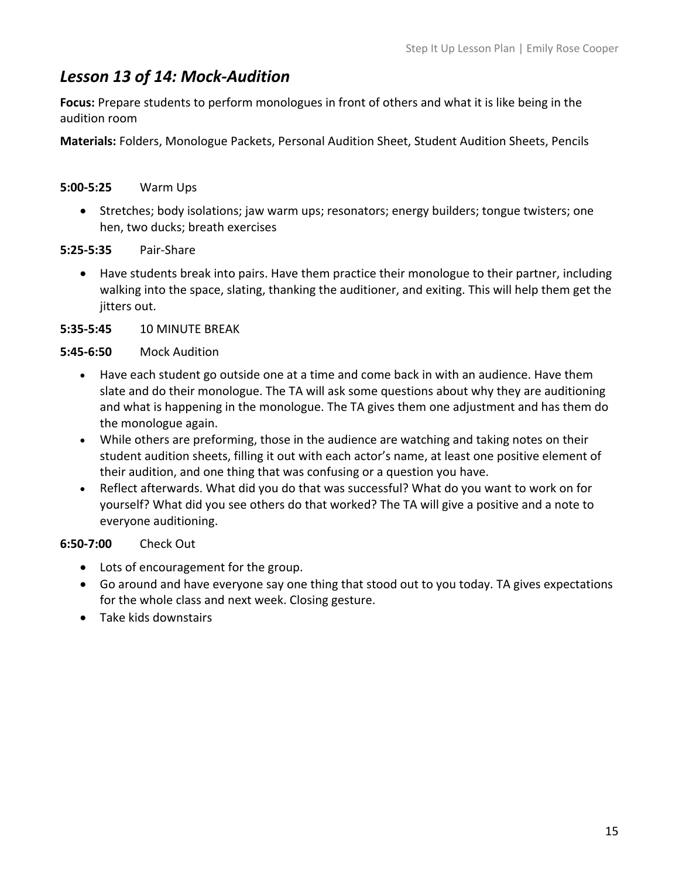### *Lesson 13 of 14: Mock-Audition*

**Focus:** Prepare students to perform monologues in front of others and what it is like being in the audition room

**Materials:** Folders, Monologue Packets, Personal Audition Sheet, Student Audition Sheets, Pencils

### **5:00-5:25** Warm Ups

- Stretches; body isolations; jaw warm ups; resonators; energy builders; tongue twisters; one hen, two ducks; breath exercises
- **5:25-5:35** Pair-Share
	- Have students break into pairs. Have them practice their monologue to their partner, including walking into the space, slating, thanking the auditioner, and exiting. This will help them get the jitters out.

### **5:35-5:45** 10 MINUTE BREAK

### **5:45-6:50** Mock Audition

- Have each student go outside one at a time and come back in with an audience. Have them slate and do their monologue. The TA will ask some questions about why they are auditioning and what is happening in the monologue. The TA gives them one adjustment and has them do the monologue again.
- While others are preforming, those in the audience are watching and taking notes on their student audition sheets, filling it out with each actor's name, at least one positive element of their audition, and one thing that was confusing or a question you have.
- Reflect afterwards. What did you do that was successful? What do you want to work on for yourself? What did you see others do that worked? The TA will give a positive and a note to everyone auditioning.

- Lots of encouragement for the group.
- Go around and have everyone say one thing that stood out to you today. TA gives expectations for the whole class and next week. Closing gesture.
- Take kids downstairs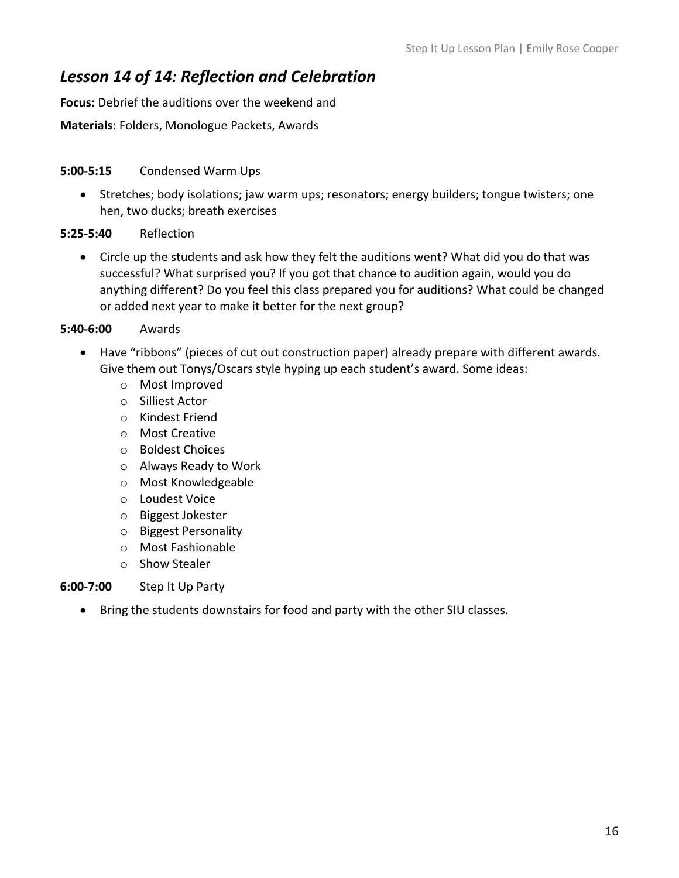### *Lesson 14 of 14: Reflection and Celebration*

**Focus:** Debrief the auditions over the weekend and

### **Materials:** Folders, Monologue Packets, Awards

### **5:00-5:15** Condensed Warm Ups

• Stretches; body isolations; jaw warm ups; resonators; energy builders; tongue twisters; one hen, two ducks; breath exercises

### **5:25-5:40** Reflection

• Circle up the students and ask how they felt the auditions went? What did you do that was successful? What surprised you? If you got that chance to audition again, would you do anything different? Do you feel this class prepared you for auditions? What could be changed or added next year to make it better for the next group?

### **5:40-6:00** Awards

- Have "ribbons" (pieces of cut out construction paper) already prepare with different awards. Give them out Tonys/Oscars style hyping up each student's award. Some ideas:
	- o Most Improved
	- o Silliest Actor
	- o Kindest Friend
	- o Most Creative
	- o Boldest Choices
	- o Always Ready to Work
	- o Most Knowledgeable
	- o Loudest Voice
	- o Biggest Jokester
	- o Biggest Personality
	- o Most Fashionable
	- o Show Stealer

### **6:00-7:00** Step It Up Party

• Bring the students downstairs for food and party with the other SIU classes.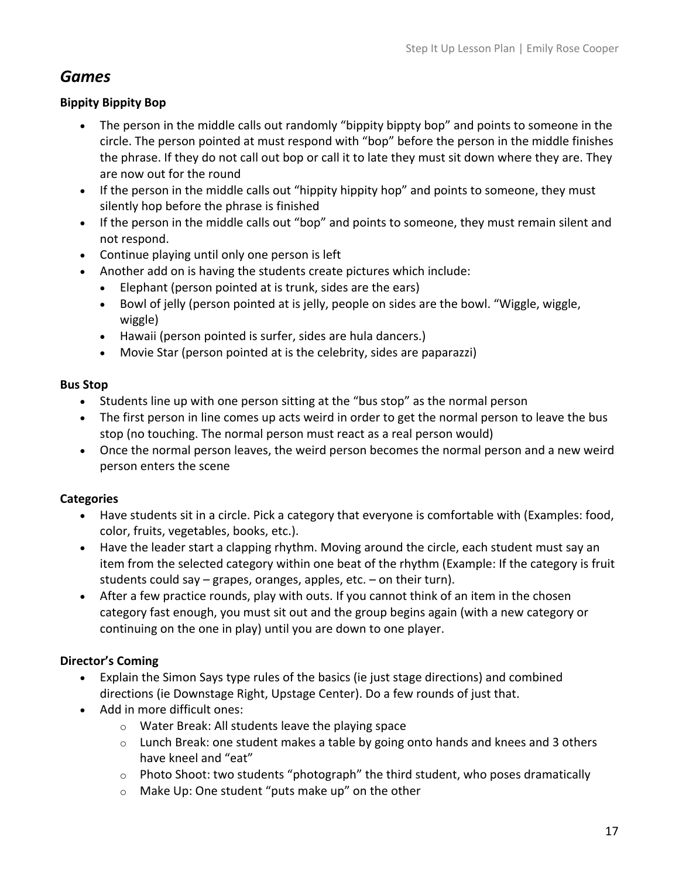### *Games*

### **Bippity Bippity Bop**

- The person in the middle calls out randomly "bippity bippty bop" and points to someone in the circle. The person pointed at must respond with "bop" before the person in the middle finishes the phrase. If they do not call out bop or call it to late they must sit down where they are. They are now out for the round
- If the person in the middle calls out "hippity hippity hop" and points to someone, they must silently hop before the phrase is finished
- If the person in the middle calls out "bop" and points to someone, they must remain silent and not respond.
- Continue playing until only one person is left
- Another add on is having the students create pictures which include:
	- Elephant (person pointed at is trunk, sides are the ears)
	- Bowl of jelly (person pointed at is jelly, people on sides are the bowl. "Wiggle, wiggle, wiggle)
	- Hawaii (person pointed is surfer, sides are hula dancers.)
	- Movie Star (person pointed at is the celebrity, sides are paparazzi)

### **Bus Stop**

- Students line up with one person sitting at the "bus stop" as the normal person
- The first person in line comes up acts weird in order to get the normal person to leave the bus stop (no touching. The normal person must react as a real person would)
- Once the normal person leaves, the weird person becomes the normal person and a new weird person enters the scene

### **Categories**

- Have students sit in a circle. Pick a category that everyone is comfortable with (Examples: food, color, fruits, vegetables, books, etc.).
- Have the leader start a clapping rhythm. Moving around the circle, each student must say an item from the selected category within one beat of the rhythm (Example: If the category is fruit students could say – grapes, oranges, apples, etc. – on their turn).
- After a few practice rounds, play with outs. If you cannot think of an item in the chosen category fast enough, you must sit out and the group begins again (with a new category or continuing on the one in play) until you are down to one player.

### **Director's Coming**

- Explain the Simon Says type rules of the basics (ie just stage directions) and combined directions (ie Downstage Right, Upstage Center). Do a few rounds of just that.
- Add in more difficult ones:
	- o Water Break: All students leave the playing space
	- $\circ$  Lunch Break: one student makes a table by going onto hands and knees and 3 others have kneel and "eat"
	- o Photo Shoot: two students "photograph" the third student, who poses dramatically
	- o Make Up: One student "puts make up" on the other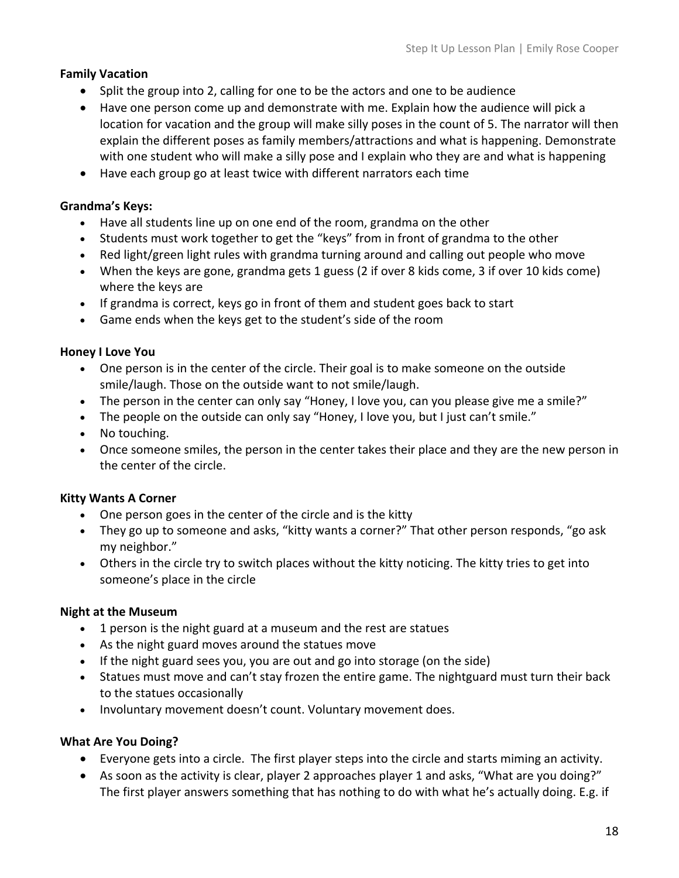### **Family Vacation**

- Split the group into 2, calling for one to be the actors and one to be audience
- Have one person come up and demonstrate with me. Explain how the audience will pick a location for vacation and the group will make silly poses in the count of 5. The narrator will then explain the different poses as family members/attractions and what is happening. Demonstrate with one student who will make a silly pose and I explain who they are and what is happening
- Have each group go at least twice with different narrators each time

#### **Grandma's Keys:**

- Have all students line up on one end of the room, grandma on the other
- Students must work together to get the "keys" from in front of grandma to the other
- Red light/green light rules with grandma turning around and calling out people who move
- When the keys are gone, grandma gets 1 guess (2 if over 8 kids come, 3 if over 10 kids come) where the keys are
- If grandma is correct, keys go in front of them and student goes back to start
- Game ends when the keys get to the student's side of the room

### **Honey I Love You**

- One person is in the center of the circle. Their goal is to make someone on the outside smile/laugh. Those on the outside want to not smile/laugh.
- The person in the center can only say "Honey, I love you, can you please give me a smile?"
- The people on the outside can only say "Honey, I love you, but I just can't smile."
- No touching.
- Once someone smiles, the person in the center takes their place and they are the new person in the center of the circle.

### **Kitty Wants A Corner**

- One person goes in the center of the circle and is the kitty
- They go up to someone and asks, "kitty wants a corner?" That other person responds, "go ask my neighbor."
- Others in the circle try to switch places without the kitty noticing. The kitty tries to get into someone's place in the circle

### **Night at the Museum**

- 1 person is the night guard at a museum and the rest are statues
- As the night guard moves around the statues move
- If the night guard sees you, you are out and go into storage (on the side)
- Statues must move and can't stay frozen the entire game. The nightguard must turn their back to the statues occasionally
- Involuntary movement doesn't count. Voluntary movement does.

### **What Are You Doing?**

- Everyone gets into a circle. The first player steps into the circle and starts miming an activity.
- As soon as the activity is clear, player 2 approaches player 1 and asks, "What are you doing?" The first player answers something that has nothing to do with what he's actually doing. E.g. if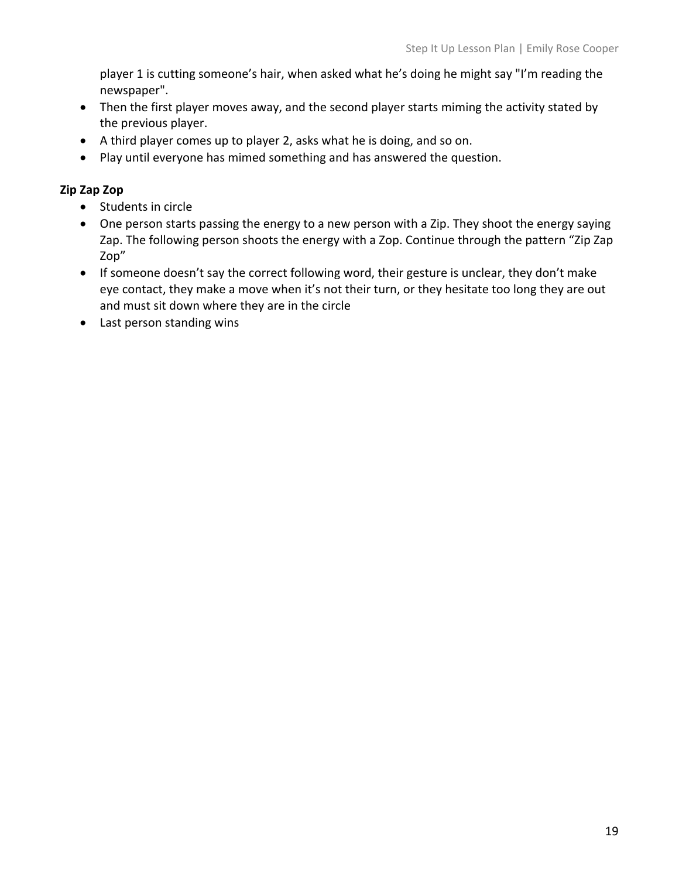player 1 is cutting someone's hair, when asked what he's doing he might say "I'm reading the newspaper".

- Then the first player moves away, and the second player starts miming the activity stated by the previous player.
- A third player comes up to player 2, asks what he is doing, and so on.
- Play until everyone has mimed something and has answered the question.

### **Zip Zap Zop**

- Students in circle
- One person starts passing the energy to a new person with a Zip. They shoot the energy saying Zap. The following person shoots the energy with a Zop. Continue through the pattern "Zip Zap Zop"
- If someone doesn't say the correct following word, their gesture is unclear, they don't make eye contact, they make a move when it's not their turn, or they hesitate too long they are out and must sit down where they are in the circle
- Last person standing wins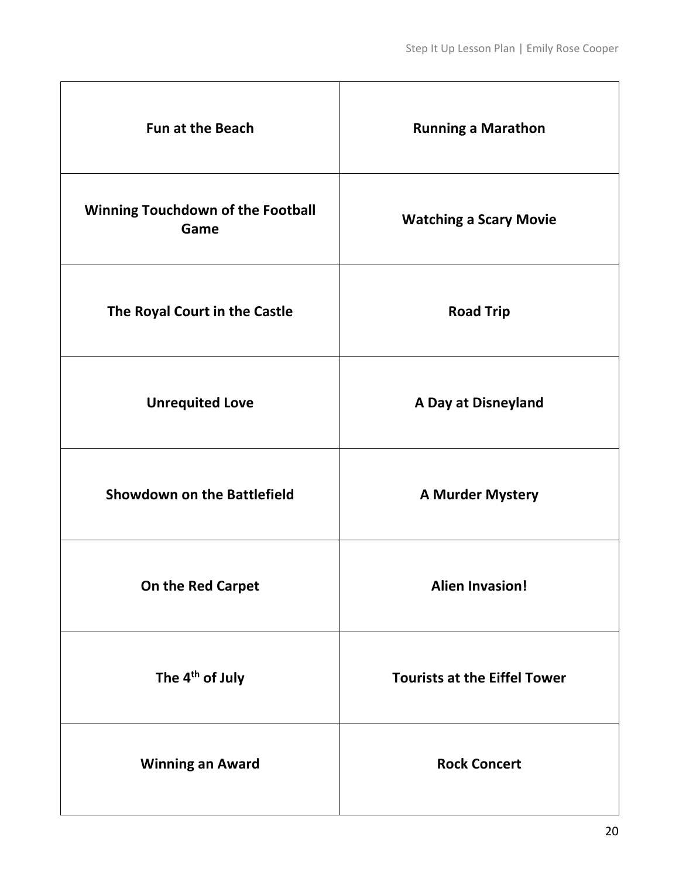| <b>Fun at the Beach</b>                          | <b>Running a Marathon</b>           |
|--------------------------------------------------|-------------------------------------|
| <b>Winning Touchdown of the Football</b><br>Game | <b>Watching a Scary Movie</b>       |
| The Royal Court in the Castle                    | <b>Road Trip</b>                    |
| <b>Unrequited Love</b>                           | A Day at Disneyland                 |
| <b>Showdown on the Battlefield</b>               | <b>A Murder Mystery</b>             |
| On the Red Carpet                                | <b>Alien Invasion!</b>              |
| The 4 <sup>th</sup> of July                      | <b>Tourists at the Eiffel Tower</b> |
| <b>Winning an Award</b>                          | <b>Rock Concert</b>                 |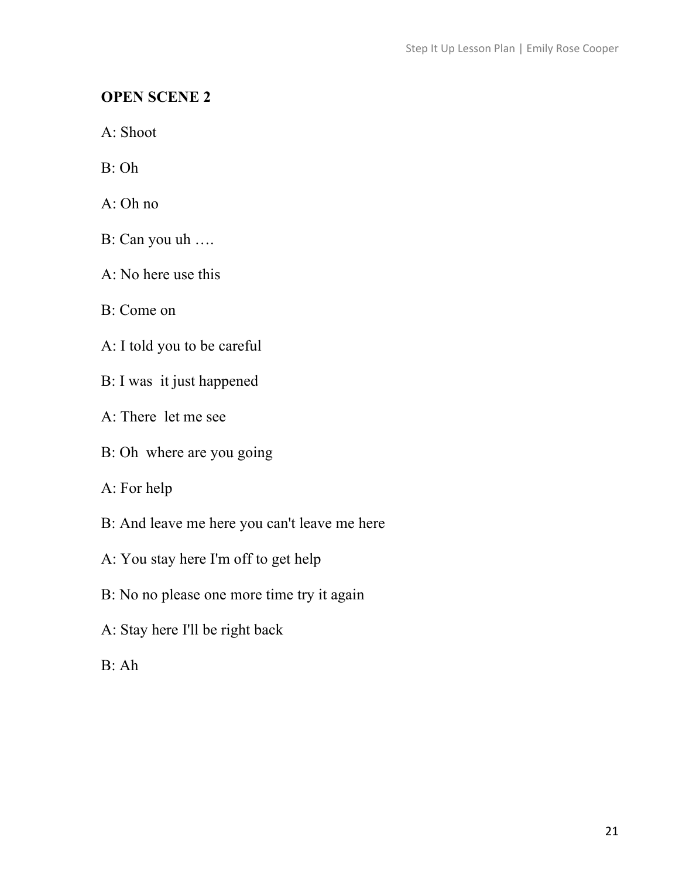### **OPEN SCENE 2**

- A: Shoot
- B: Oh
- A: Oh no
- B: Can you uh ….
- A: No here use this
- B: Come on
- A: I told you to be careful
- B: I was it just happened
- A: There let me see
- B: Oh where are you going
- A: For help
- B: And leave me here you can't leave me here
- A: You stay here I'm off to get help
- B: No no please one more time try it again
- A: Stay here I'll be right back
- B: Ah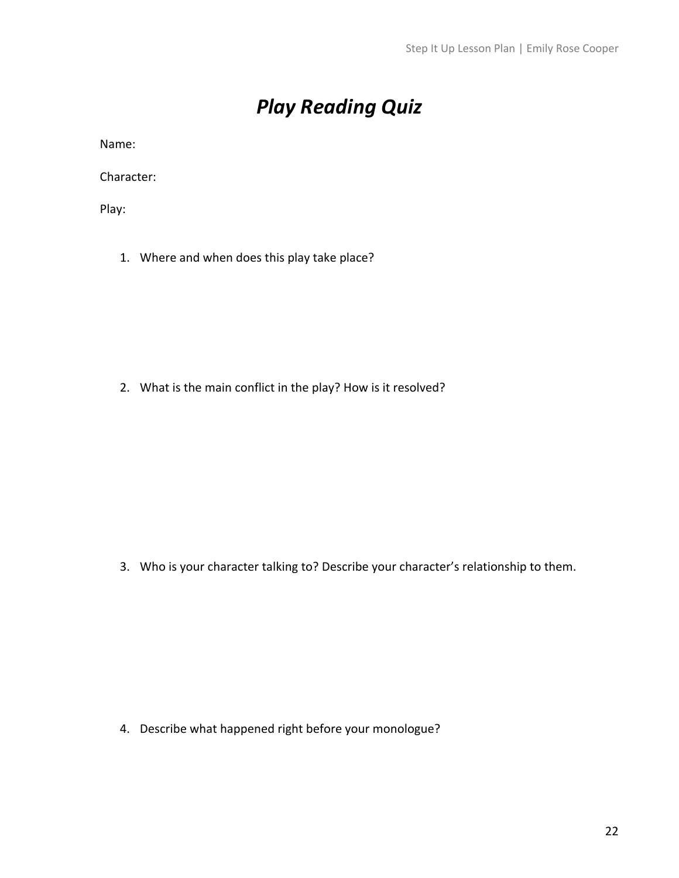# *Play Reading Quiz*

Name:

Character:

Play:

1. Where and when does this play take place?

2. What is the main conflict in the play? How is it resolved?

3. Who is your character talking to? Describe your character's relationship to them.

4. Describe what happened right before your monologue?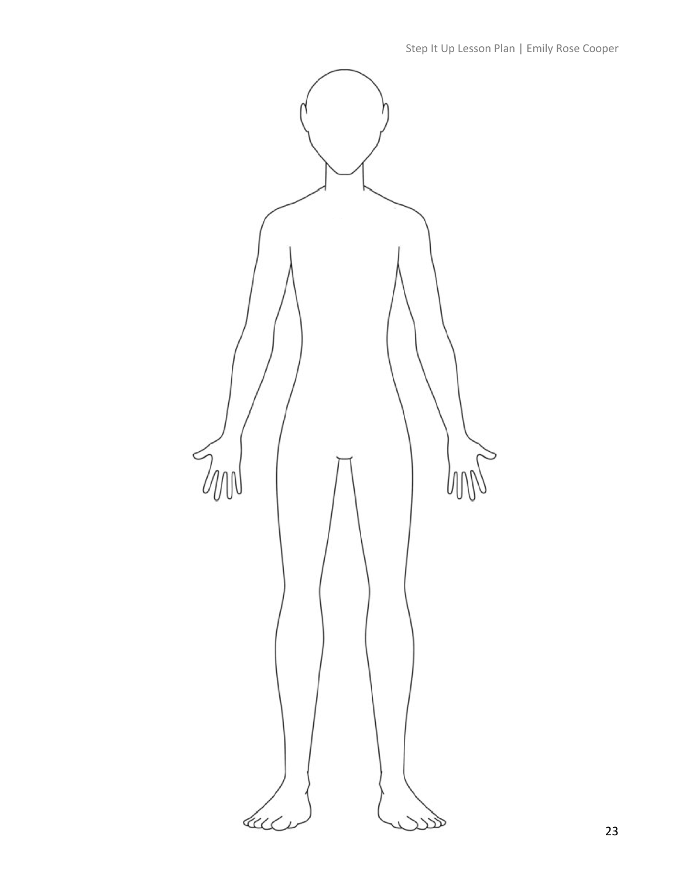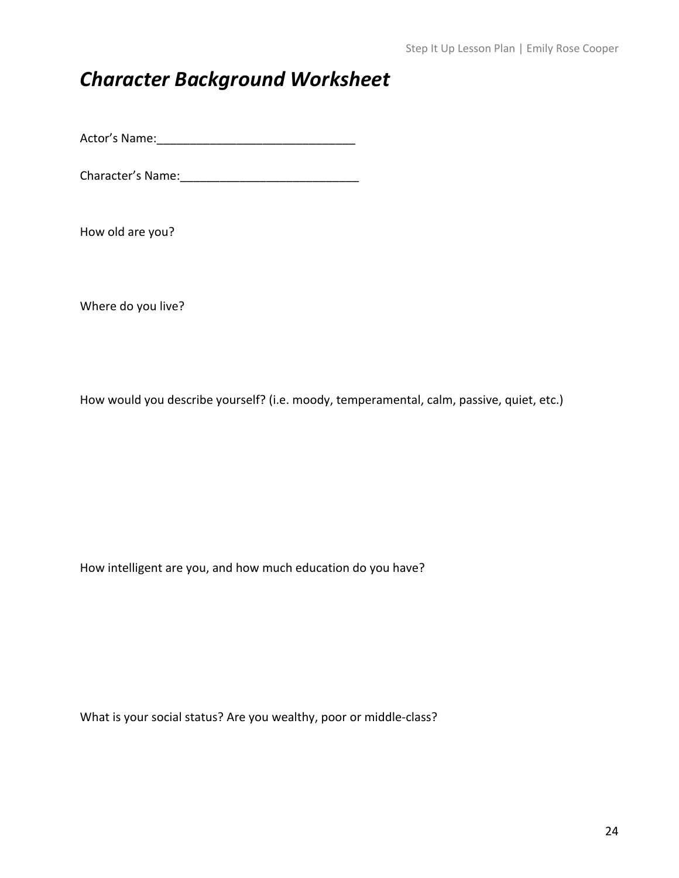## *Character Background Worksheet*

Actor's Name:\_\_\_\_\_\_\_\_\_\_\_\_\_\_\_\_\_\_\_\_\_\_\_\_\_\_\_\_\_\_

Character's Name:\_\_\_\_\_\_\_\_\_\_\_\_\_\_\_\_\_\_\_\_\_\_\_\_\_\_\_

How old are you?

Where do you live?

How would you describe yourself? (i.e. moody, temperamental, calm, passive, quiet, etc.)

How intelligent are you, and how much education do you have?

What is your social status? Are you wealthy, poor or middle-class?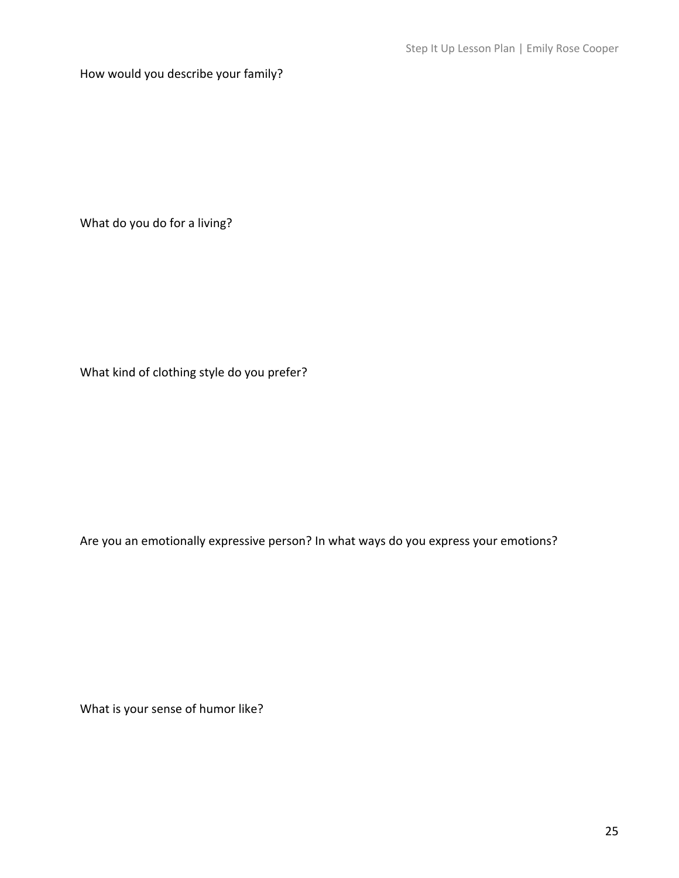How would you describe your family?

What do you do for a living?

What kind of clothing style do you prefer?

Are you an emotionally expressive person? In what ways do you express your emotions?

What is your sense of humor like?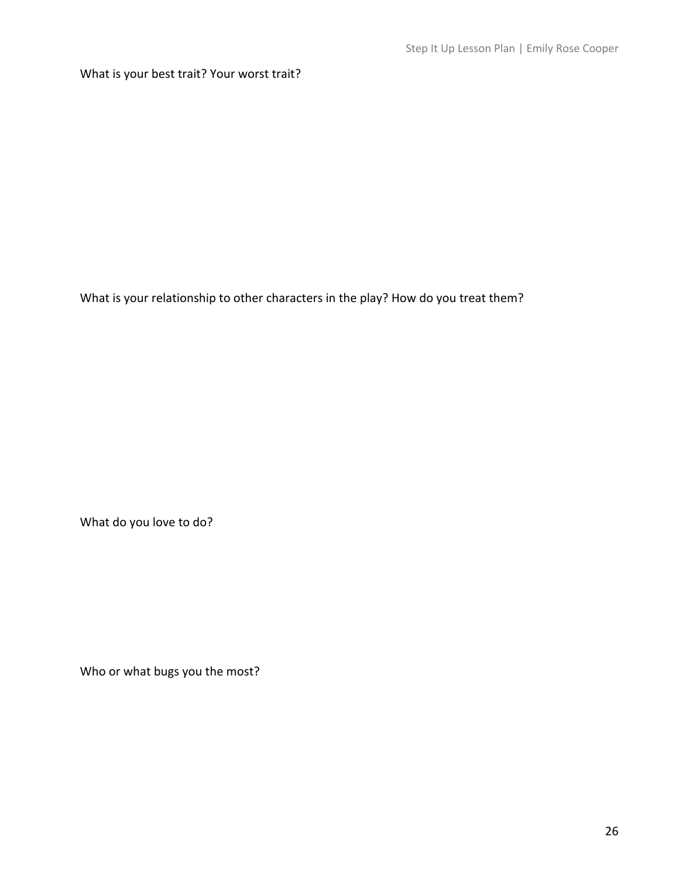What is your best trait? Your worst trait?

What is your relationship to other characters in the play? How do you treat them?

What do you love to do?

Who or what bugs you the most?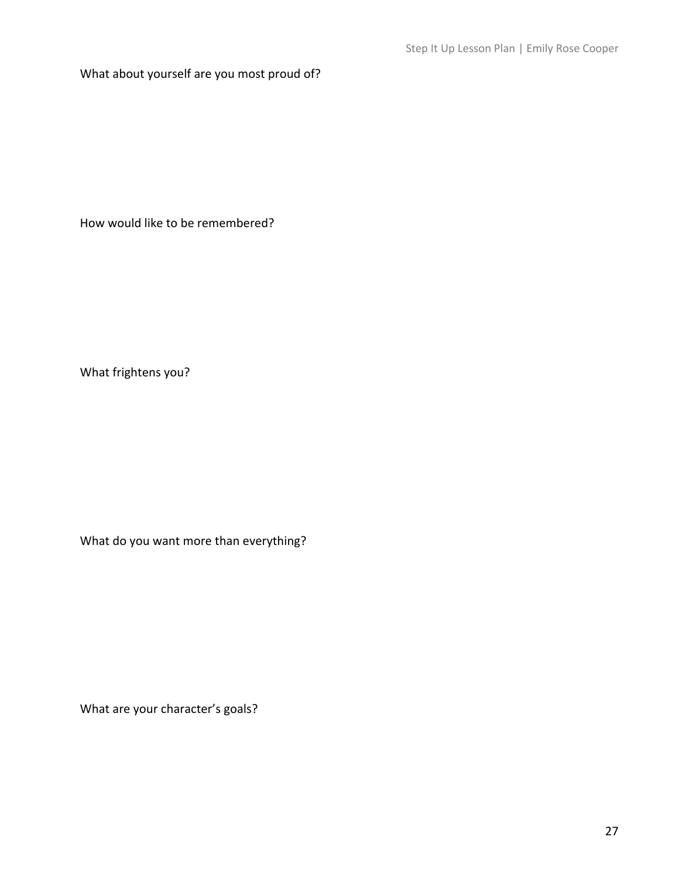What about yourself are you most proud of?

How would like to be remembered?

What frightens you?

What do you want more than everything?

What are your character's goals?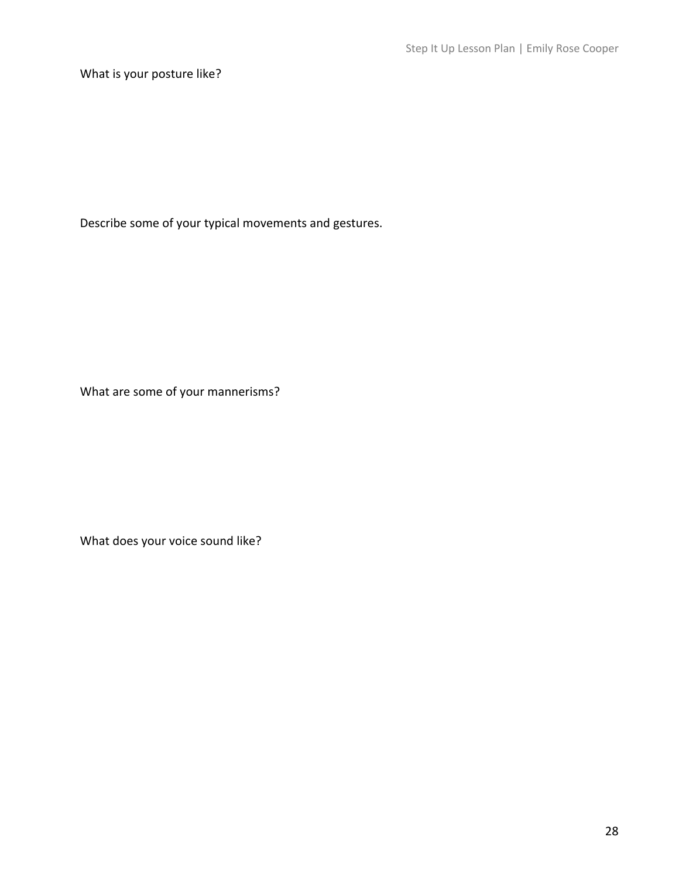What is your posture like?

Describe some of your typical movements and gestures.

What are some of your mannerisms?

What does your voice sound like?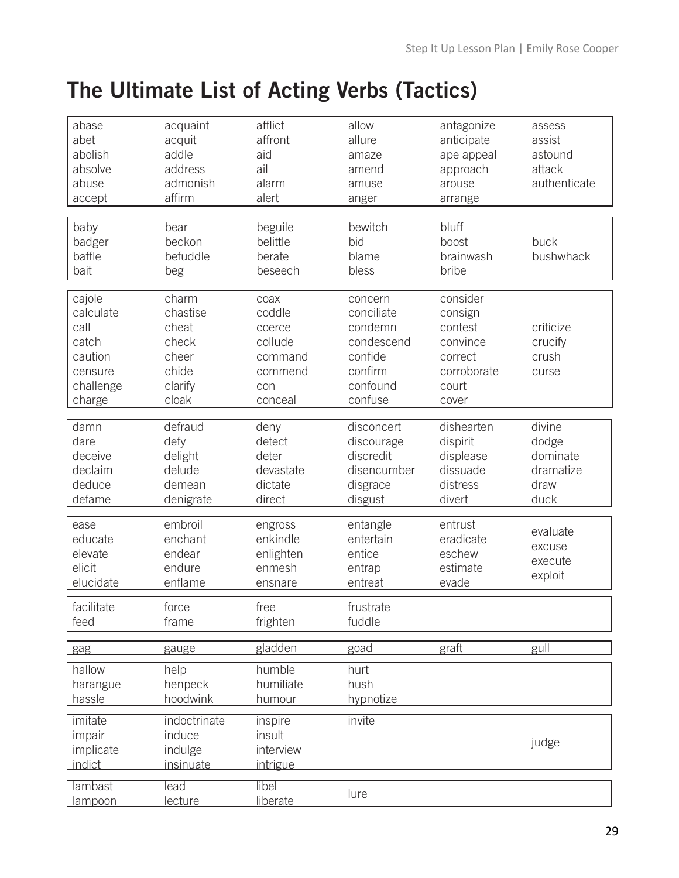# **The Ultimate List of Acting Verbs (Tactics)**

| abase<br>abet<br>abolish<br>absolve<br>abuse<br>accept                            | acquaint<br>acquit<br>addle<br>address<br>admonish<br>affirm<br>bear      | afflict<br>affront<br>aid<br>ail<br>alarm<br>alert                          | allow<br>allure<br>amaze<br>amend<br>amuse<br>anger<br>bewitch                              | antagonize<br>anticipate<br>ape appeal<br>approach<br>arouse<br>arrange<br>bluff       | assess<br>assist<br>astound<br>attack<br>authenticate    |
|-----------------------------------------------------------------------------------|---------------------------------------------------------------------------|-----------------------------------------------------------------------------|---------------------------------------------------------------------------------------------|----------------------------------------------------------------------------------------|----------------------------------------------------------|
| baby<br>badger<br>baffle<br>bait                                                  | beckon<br>befuddle<br>beg                                                 | beguile<br>belittle<br>berate<br>beseech                                    | bid<br>blame<br>bless                                                                       | boost<br>brainwash<br>bribe                                                            | buck<br>bushwhack                                        |
| cajole<br>calculate<br>call<br>catch<br>caution<br>censure<br>challenge<br>charge | charm<br>chastise<br>cheat<br>check<br>cheer<br>chide<br>clarify<br>cloak | coax<br>coddle<br>coerce<br>collude<br>command<br>commend<br>con<br>conceal | concern<br>conciliate<br>condemn<br>condescend<br>confide<br>confirm<br>confound<br>confuse | consider<br>consign<br>contest<br>convince<br>correct<br>corroborate<br>court<br>cover | criticize<br>crucify<br>crush<br>curse                   |
| damn<br>dare<br>deceive<br>declaim<br>deduce<br>defame                            | defraud<br>defy<br>delight<br>delude<br>demean<br>denigrate               | deny<br>detect<br>deter<br>devastate<br>dictate<br>direct                   | disconcert<br>discourage<br>discredit<br>disencumber<br>disgrace<br>disgust                 | dishearten<br>dispirit<br>displease<br>dissuade<br>distress<br>divert                  | divine<br>dodge<br>dominate<br>dramatize<br>draw<br>duck |
| ease<br>educate<br>elevate<br>elicit<br>elucidate                                 | embroil<br>enchant<br>endear<br>endure<br>enflame                         | engross<br>enkindle<br>enlighten<br>enmesh<br>ensnare                       | entangle<br>entertain<br>entice<br>entrap<br>entreat                                        | entrust<br>eradicate<br>eschew<br>estimate<br>evade                                    | evaluate<br>excuse<br>execute<br>exploit                 |
| facilitate<br>feed                                                                | force<br>frame                                                            | free<br>frighten                                                            | frustrate<br>fuddle                                                                         |                                                                                        |                                                          |
| gag                                                                               | gauge                                                                     | gladden                                                                     | goad                                                                                        | graft                                                                                  | gull                                                     |
| hallow<br>harangue<br>hassle                                                      | help<br>henpeck<br>hoodwink                                               | humble<br>humiliate<br>humour                                               | hurt<br>hush<br>hypnotize                                                                   |                                                                                        |                                                          |
| imitate<br>impair<br>implicate<br>indict                                          | indoctrinate<br>induce<br>indulge<br><i>insinuate</i>                     | inspire<br>insult<br>interview<br><i>intrigue</i>                           | invite                                                                                      |                                                                                        | judge                                                    |
| lambast<br><u>lampoon</u>                                                         | lead<br><u>lecture</u>                                                    | libel<br><b>liberate</b>                                                    | lure                                                                                        |                                                                                        |                                                          |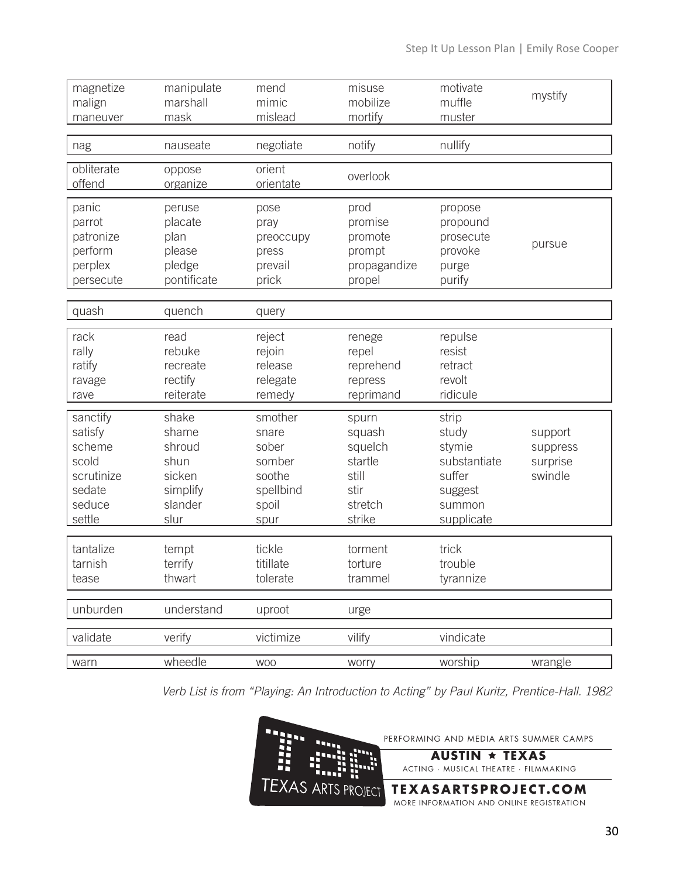| magnetize<br>malign<br>maneuver                                                    | manipulate<br>marshall<br>mask                                            | mend<br>mimic<br>mislead                                                    | misuse<br>mobilize<br>mortify                                               | motivate<br>muffle<br>muster                                                          | mystify                                    |
|------------------------------------------------------------------------------------|---------------------------------------------------------------------------|-----------------------------------------------------------------------------|-----------------------------------------------------------------------------|---------------------------------------------------------------------------------------|--------------------------------------------|
| nag                                                                                | nauseate                                                                  | negotiate                                                                   | notify                                                                      | nullify                                                                               |                                            |
| obliterate<br>offend                                                               | oppose<br>organize                                                        | orient<br>orientate                                                         | overlook                                                                    |                                                                                       |                                            |
| panic<br>parrot<br>patronize<br>perform<br>perplex<br>persecute                    | peruse<br>placate<br>plan<br>please<br>pledge<br>pontificate              | pose<br>pray<br>preoccupy<br>press<br>prevail<br>prick                      | prod<br>promise<br>promote<br>prompt<br>propagandize<br>propel              | propose<br>propound<br>prosecute<br>provoke<br>purge<br>purify                        | pursue                                     |
| quash                                                                              | quench                                                                    | query                                                                       |                                                                             |                                                                                       |                                            |
| rack<br>rally<br>ratify<br>ravage<br>rave                                          | read<br>rebuke<br>recreate<br>rectify<br>reiterate                        | reject<br>rejoin<br>release<br>relegate<br>remedy                           | renege<br>repel<br>reprehend<br>repress<br>reprimand                        | repulse<br>resist<br>retract<br>revolt<br>ridicule                                    |                                            |
| sanctify<br>satisfy<br>scheme<br>scold<br>scrutinize<br>sedate<br>seduce<br>settle | shake<br>shame<br>shroud<br>shun<br>sicken<br>simplify<br>slander<br>slur | smother<br>snare<br>sober<br>somber<br>soothe<br>spellbind<br>spoil<br>spur | spurn<br>squash<br>squelch<br>startle<br>still<br>stir<br>stretch<br>strike | strip<br>study<br>stymie<br>substantiate<br>suffer<br>suggest<br>summon<br>supplicate | support<br>suppress<br>surprise<br>swindle |
| tantalize<br>tarnish<br>tease                                                      | tempt<br>terrify<br>thwart                                                | tickle<br>titillate<br>tolerate                                             | torment<br>torture<br>trammel                                               | trick<br>trouble<br>tyrannize                                                         |                                            |
| unburden                                                                           | understand                                                                | uproot                                                                      | urge                                                                        |                                                                                       |                                            |
| validate                                                                           | verify                                                                    | victimize                                                                   | vilify                                                                      | vindicate                                                                             |                                            |
| warn                                                                               | wheedle                                                                   | <b>WOO</b>                                                                  | worry                                                                       | worship                                                                               | wrangle                                    |

*Verb List is from "Playing: An Introduction to Acting" by Paul Kuritz, Prentice-Hall. 1982*

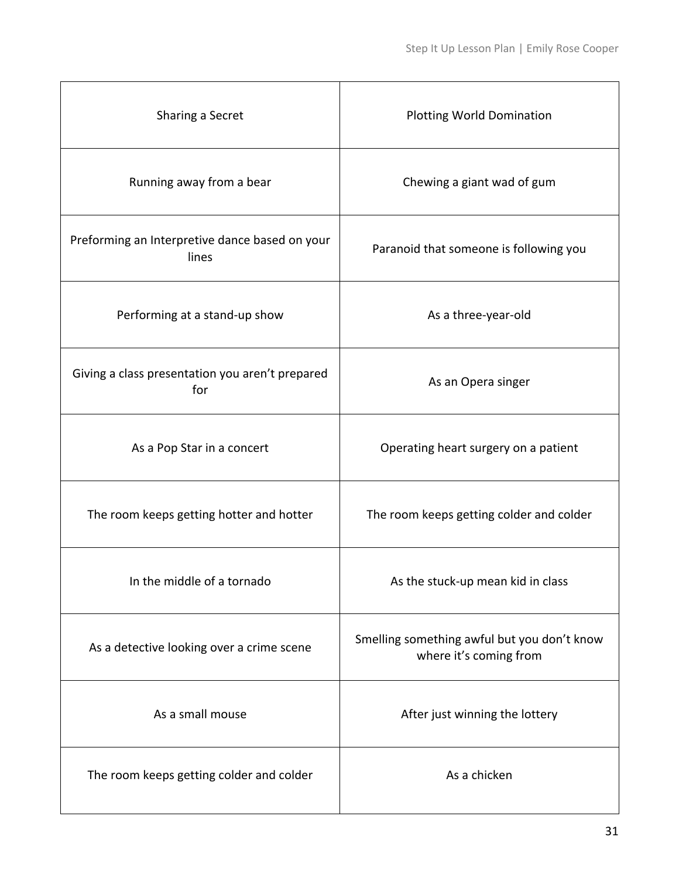| Sharing a Secret                                                                                  | <b>Plotting World Domination</b>                                      |  |
|---------------------------------------------------------------------------------------------------|-----------------------------------------------------------------------|--|
| Running away from a bear                                                                          | Chewing a giant wad of gum                                            |  |
| Preforming an Interpretive dance based on your<br>Paranoid that someone is following you<br>lines |                                                                       |  |
| Performing at a stand-up show                                                                     | As a three-year-old                                                   |  |
| Giving a class presentation you aren't prepared<br>As an Opera singer<br>for                      |                                                                       |  |
| As a Pop Star in a concert                                                                        | Operating heart surgery on a patient                                  |  |
| The room keeps getting hotter and hotter                                                          | The room keeps getting colder and colder                              |  |
| In the middle of a tornado                                                                        | As the stuck-up mean kid in class                                     |  |
| As a detective looking over a crime scene                                                         | Smelling something awful but you don't know<br>where it's coming from |  |
| As a small mouse                                                                                  | After just winning the lottery                                        |  |
| The room keeps getting colder and colder                                                          | As a chicken                                                          |  |